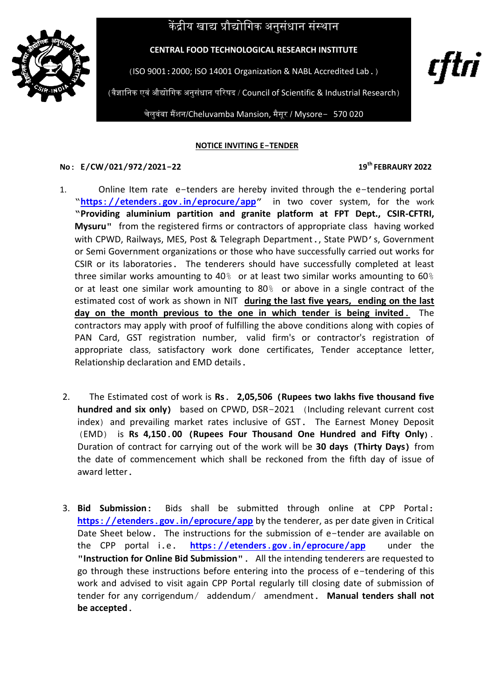# केंद्रीय खाद्य प्रौद्योगिक अनुसंधान संस्थान



**CENTRAL FOOD TECHNOLOGICAL RESEARCH INSTITUTE**

(ISO 9001:2000; ISO 14001 Organization & NABL Accredited Lab.)

(वैज्ञागनक एवं औद्योगगक अनुसंधान पररषद / Council of Scientific & Industrial Research)

चेलुवंबा मैंशन/Cheluvamba Mansion, मैसूर / Mysore- 570 020

#### **NOTICE INVITING E-TENDER**

### **No: E/CW/021/972/2021-22 19**

### **th FEBRAURY 2022**

t†tri

- 1.Online Item rate e-tenders are hereby invited through the e-tendering portal ―**https://etenders.gov.in/[eprocure](https://etenders.gov.in/eprocure/app)/app"** in two cover system, for the work **"Providing aluminium partition and granite platform at FPT Dept., CSIR-CFTRI, Mysuru"** from the registered firms or contractors of appropriate class having worked with CPWD, Railways, MES, Post & Telegraph Department., State PWD's, Government or Semi Government organizations or those who have successfully carried out works for CSIR or its laboratories. The tenderers should have successfully completed at least three similar works amounting to 40% or at least two similar works amounting to 60% or at least one similar work amounting to 80% or above in a single contract of the estimated cost of work as shown in NIT **during the last five years, ending on the last day on the month previous to the one in which tender is being invited.** The contractors may apply with proof of fulfilling the above conditions along with copies of PAN Card, GST registration number, valid firm's or contractor's registration of appropriate class, satisfactory work done certificates, Tender acceptance letter, Relationship declaration and EMD details.
- 2.The Estimated cost of work is **Rs. 2,05,506 (Rupees two lakhs five thousand five hundred and six only)** based on CPWD, DSR-2021 (Including relevant current cost index) and prevailing market rates inclusive of GST. The Earnest Money Deposit (EMD) is **Rs 4,150.00 (Rupees Four Thousand One Hundred and Fifty Only).** Duration of contract for carrying out of the work will be **30 days (Thirty Days)** from the date of commencement which shall be reckoned from the fifth day of issue of award letter.
- 3. **Bid Submission:** Bids shall be submitted through online at CPP Portal: **https://etenders.gov.in/[eprocure](https://etenders.gov.in/eprocure/app)/app** by the tenderer, as per date given in Critical Date Sheet below. The instructions for the submission of e-tender are available on the CPP portal i.e. **https://etenders.gov.in/[eprocure](https://etenders.gov.in/eprocure/app)/app** under the "**Instruction for Online Bid Submission**". All the intending tenderers are requested to go through these instructions before entering into the process of e-tendering of this work and advised to visit again CPP Portal regularly till closing date of submission of tender for any corrigendum/ addendum/ amendment. **Manual tenders shall not be accepted.**